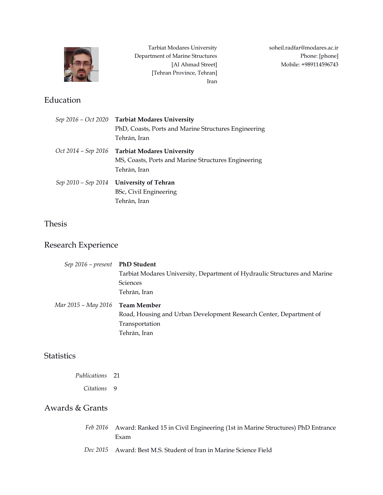

# Education

Tarbiat Modares University Department of Marine Structures [Al Ahmad Street] [Tehran Province, Tehran] Iran

|                     | Sep 2016 - Oct 2020 Tarbiat Modares University<br>PhD, Coasts, Ports and Marine Structures Engineering<br>Tehrān, Iran |
|---------------------|------------------------------------------------------------------------------------------------------------------------|
| Oct 2014 – Sep 2016 | <b>Tarbiat Modares University</b><br>MS, Coasts, Ports and Marine Structures Engineering<br>Tehrān, Iran               |
|                     | Sep 2010 - Sep 2014 University of Tehran<br>BSc, Civil Engineering<br>Tehrān, Iran                                     |

## Thesis

## Research Experience

| Sep 2016 - present PhD Student  |                                                                           |
|---------------------------------|---------------------------------------------------------------------------|
|                                 | Tarbiat Modares University, Department of Hydraulic Structures and Marine |
|                                 | <b>Sciences</b>                                                           |
|                                 | Tehrān, Iran                                                              |
| Mar 2015 – May 2016 Team Member |                                                                           |
|                                 | Road, Housing and Urban Development Research Center, Department of        |
|                                 |                                                                           |
|                                 | Transportation                                                            |
|                                 | Tehrān, Iran                                                              |

# **Statistics**

*Publications* 21 *Citations* 9

# Awards & Grants

| Feb 2016 Award: Ranked 15 in Civil Engineering (1st in Marine Structures) PhD Entrance |
|----------------------------------------------------------------------------------------|
| Exam                                                                                   |
|                                                                                        |

*Dec 2015* Award: Best M.S. Student of Iran in Marine Science Field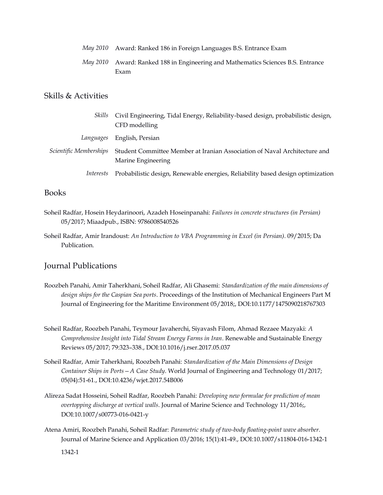| May 2010 Award: Ranked 186 in Foreign Languages B.S. Entrance Exam                       |
|------------------------------------------------------------------------------------------|
| May 2010 Award: Ranked 188 in Engineering and Mathematics Sciences B.S. Entrance<br>Exam |
|                                                                                          |

## Skills & Activities

| Skills                        | Civil Engineering, Tidal Energy, Reliability-based design, probabilistic design,                |
|-------------------------------|-------------------------------------------------------------------------------------------------|
|                               | CFD modelling                                                                                   |
| Languages                     | English, Persian                                                                                |
| <i>Scientific Memberships</i> | Student Committee Member at Iranian Association of Naval Architecture and<br>Marine Engineering |
| <i>Interests</i>              | Probabilistic design, Renewable energies, Reliability based design optimization                 |

### Books

- Soheil Radfar, Hosein Heydarinoori, Azadeh Hoseinpanahi: *Failures in concrete structures (in Persian)* 05/2017; Miaadpub., ISBN: 9786008540526
- Soheil Radfar, Amir Irandoust: *An Introduction to VBA Programming in Excel (in Persian)*. 09/2015; Da Publication.

### Journal Publications

- Roozbeh Panahi, Amir Taherkhani, Soheil Radfar, Ali Ghasemi: *Standardization of the main dimensions of design ships for the Caspian Sea ports*. Proceedings of the Institution of Mechanical Engineers Part M Journal of Engineering for the Maritime Environment 05/2018;, DOI:10.1177/1475090218767303
- Soheil Radfar, Roozbeh Panahi, Teymour Javaherchi, Siyavash Filom, Ahmad Rezaee Mazyaki: *A Comprehensive Insight into Tidal Stream Energy Farms in Iran*. Renewable and Sustainable Energy Reviews 05/2017; 79:323–338., DOI:10.1016/j.rser.2017.05.037
- Soheil Radfar, Amir Taherkhani, Roozbeh Panahi: *Standardization of the Main Dimensions of Design Container Ships in Ports—A Case Study*. World Journal of Engineering and Technology 01/2017; 05(04):51-61., DOI:10.4236/wjet.2017.54B006
- Alireza Sadat Hosseini, Soheil Radfar, Roozbeh Panahi: *Developing new formulae for prediction of mean overtopping discharge at vertical walls*. Journal of Marine Science and Technology 11/2016;, DOI:10.1007/s00773-016-0421-y
- Atena Amiri, Roozbeh Panahi, Soheil Radfar: *Parametric study of two-body floating-point wave absorber*. Journal of Marine Science and Application 03/2016; 15(1):41-49., DOI:10.1007/s11804-016-1342-1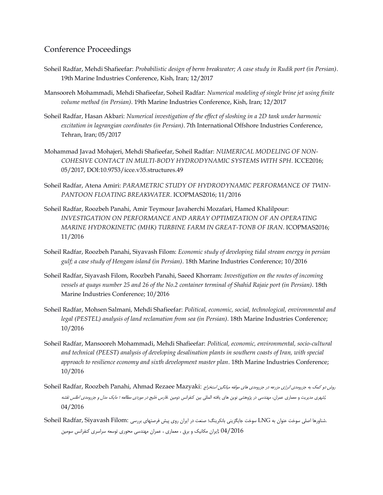### Conference Proceedings

- Soheil Radfar, Mehdi Shafieefar: *Probabilistic design of berm breakwater; A case study in Rudik port (in Persian)*. 19th Marine Industries Conference, Kish, Iran; 12/2017
- Mansooreh Mohammadi, Mehdi Shafieefar, Soheil Radfar: *Numerical modeling of single brine jet using finite volume method (in Persian)*. 19th Marine Industries Conference, Kish, Iran; 12/2017
- Soheil Radfar, Hasan Akbari: *Numerical investigation of the effect of sloshing in a 2D tank under harmonic excitation in lagrangian coordinates (in Persian)*. 7th International Offshore Industries Conference, Tehran, Iran; 05/2017
- Mohammad Javad Mohajeri, Mehdi Shafieefar, Soheil Radfar: *NUMERICAL MODELING OF NON-COHESIVE CONTACT IN MULTI-BODY HYDRODYNAMIC SYSTEMS WITH SPH*. ICCE2016; 05/2017, DOI:10.9753/icce.v35.structures.49
- Soheil Radfar, Atena Amiri: *PARAMETRIC STUDY OF HYDRODYNAMIC PERFORMANCE OF TWIN-PANTOON FLOATING BREAKWATER*. ICOPMAS2016; 11/2016
- Soheil Radfar, Roozbeh Panahi, Amir Teymour Javaherchi Mozafari, Hamed Khalilpour: *INVESTIGATION ON PERFORMANCE AND ARRAY OPTIMIZATION OF AN OPERATING MARINE HYDROKINETIC (MHK) TURBINE FARM IN GREAT-TONB OF IRAN*. ICOPMAS2016; 11/2016
- Soheil Radfar, Roozbeh Panahi, Siyavash Filom: *Economic study of developing tidal stream energy in persian gulf; a case study of Hengam island (in Persian)*. 18th Marine Industries Conference; 10/2016
- Soheil Radfar, Siyavash Filom, Roozbeh Panahi, Saeed Khorram: *Investigation on the routes of incoming vessels at quays number 25 and 26 of the No.2 container terminal of Shahid Rajaie port (in Persian)*. 18th Marine Industries Conference; 10/2016
- Soheil Radfar, Mohsen Salmani, Mehdi Shafieefar: *Political, economic, social, technological, environmental and legal (PESTEL) analysis of land reclamation from sea (in Persian)*. 18th Marine Industries Conference; 10/2016
- Soheil Radfar, Mansooreh Mohammadi, Mehdi Shafieefar: *Political, economic, environmental, socio-cultural and technical (PEEST) analysis of developing desalination plants in southern coasts of Iran, with special approach to resilience economy and sixth development master plan*. 18th Marine Industries Conference; 10/2016
- روش دو کمک به جزرومدی انرژی مزرعه در جزرومدی های مولفه میانگین استخراج :Soheil Radfar, Roozbeh Panahi, Ahmad Rezaee Mazyaki ;شهری مدیریت و معماری عمران، مهندسی در پژوهشی نوین های یافته المللی بین کنفرانس دومین .فارس خلیج در موردی مطالعه ؛ مایک مدل <sup>و</sup> جزرومدی اطلس نقشه 04/2016
- .شناورها اصلی سوخت عنوان به LNG سوخت جایگزینی بانکرینگ؛ صنعت در ایران روی پیش فرصتهای بررسی :Soheil Radfar, Siyavash Filom 04/2016 ;ایران مکانیک و برق ، معماری ، عمران مهندسی محوری توسعه سراسری کنفرانس سومین